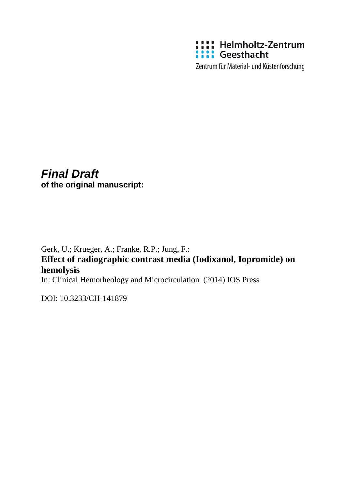

Zentrum für Material- und Küstenforschung

# *Final Draft*

**of the original manuscript:**

Gerk, U.; Krueger, A.; Franke, R.P.; Jung, F.: **Effect of radiographic contrast media (Iodixanol, Iopromide) on hemolysis**

In: Clinical Hemorheology and Microcirculation (2014) IOS Press

DOI: 10.3233/CH-141879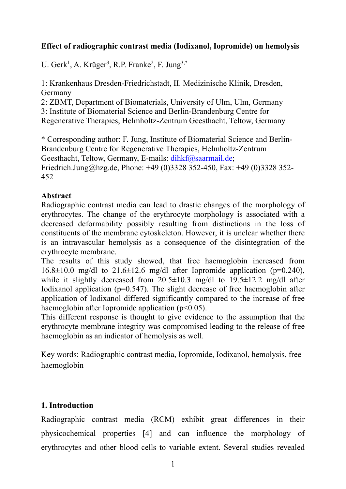## **Effect of radiographic contrast media (Iodixanol, Iopromide) on hemolysis**

U. Gerk<sup>1</sup>, A. Krüger<sup>3</sup>, R.P. Franke<sup>2</sup>, F. Jung<sup>3,\*</sup>

1: Krankenhaus Dresden-Friedrichstadt, II. Medizinische Klinik, Dresden, Germany

2: ZBMT, Department of Biomaterials, University of Ulm, Ulm, Germany 3: Institute of Biomaterial Science and Berlin-Brandenburg Centre for Regenerative Therapies, Helmholtz-Zentrum Geesthacht, Teltow, Germany

\* Corresponding author: F. Jung, Institute of Biomaterial Science and Berlin-Brandenburg Centre for Regenerative Therapies, Helmholtz-Zentrum Geesthacht, Teltow, Germany, E-mails: dihkf@saarmail.de;

Friedrich.Jung@hzg.de, Phone: +49 (0)3328 352-450, Fax: +49 (0)3328 352- 452

## **Abstract**

Radiographic contrast media can lead to drastic changes of the morphology of erythrocytes. The change of the erythrocyte morphology is associated with a decreased deformability possibly resulting from distinctions in the loss of constituents of the membrane cytoskeleton. However, it is unclear whether there is an intravascular hemolysis as a consequence of the disintegration of the erythrocyte membrane.

The results of this study showed, that free haemoglobin increased from  $16.8\pm10.0$  mg/dl to  $21.6\pm12.6$  mg/dl after Iopromide application (p=0.240), while it slightly decreased from  $20.5 \pm 10.3$  mg/dl to  $19.5 \pm 12.2$  mg/dl after Iodixanol application ( $p=0.547$ ). The slight decrease of free haemoglobin after application of Iodixanol differed significantly compared to the increase of free haemoglobin after Iopromide application  $(p<0.05)$ .

This different response is thought to give evidence to the assumption that the erythrocyte membrane integrity was compromised leading to the release of free haemoglobin as an indicator of hemolysis as well.

Key words: Radiographic contrast media, Iopromide, Iodixanol, hemolysis, free haemoglobin

## **1. Introduction**

Radiographic contrast media (RCM) exhibit great differences in their physicochemical properties [4] and can influence the morphology of erythrocytes and other blood cells to variable extent. Several studies revealed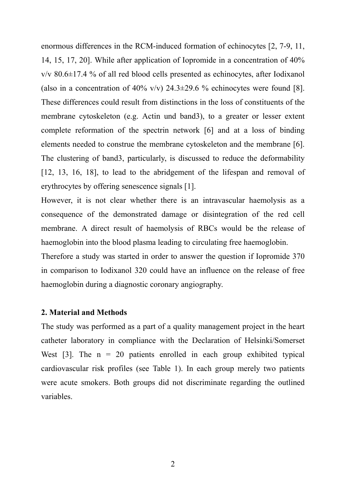enormous differences in the RCM-induced formation of echinocytes [2, 7-9, 11, 14, 15, 17, 20]. While after application of Iopromide in a concentration of 40% v/v 80.6±17.4 % of all red blood cells presented as echinocytes, after Iodixanol (also in a concentration of 40% v/v)  $24.3\pm29.6$  % echinocytes were found [8]. These differences could result from distinctions in the loss of constituents of the membrane cytoskeleton (e.g. Actin und band3), to a greater or lesser extent complete reformation of the spectrin network [6] and at a loss of binding elements needed to construe the membrane cytoskeleton and the membrane [6]. The clustering of band3, particularly, is discussed to reduce the deformability [12, 13, 16, 18], to lead to the abridgement of the lifespan and removal of erythrocytes by offering senescence signals [1].

However, it is not clear whether there is an intravascular haemolysis as a consequence of the demonstrated damage or disintegration of the red cell membrane. A direct result of haemolysis of RBCs would be the release of haemoglobin into the blood plasma leading to circulating free haemoglobin.

Therefore a study was started in order to answer the question if Iopromide 370 in comparison to Iodixanol 320 could have an influence on the release of free haemoglobin during a diagnostic coronary angiography.

#### **2. Material and Methods**

The study was performed as a part of a quality management project in the heart catheter laboratory in compliance with the Declaration of Helsinki/Somerset West [3]. The  $n = 20$  patients enrolled in each group exhibited typical cardiovascular risk profiles (see Table 1). In each group merely two patients were acute smokers. Both groups did not discriminate regarding the outlined variables.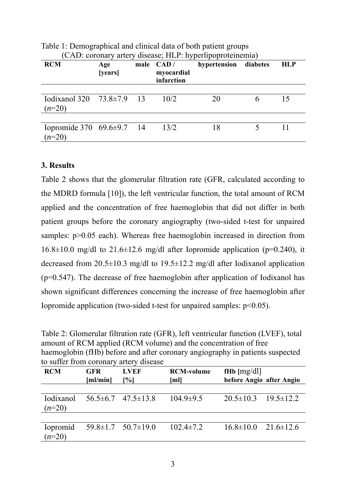| <b>RCM</b>                                  | Age<br>[years] | male CAD/<br>myocardial<br>infarction | hypertension diabetes | <b>HLP</b> |
|---------------------------------------------|----------------|---------------------------------------|-----------------------|------------|
| Iodixanol 320 $73.8 \pm 7.9$ 13<br>$(n=20)$ |                | 10/2                                  | 20                    | 15         |
| Iopromide 370 $69.6 \pm 9.7$ 14<br>$(n=20)$ |                | 13/2                                  | 18                    |            |

Table 1: Demographical and clinical data of both patient groups  $(1 - 1)$  coronary disease;  $(1 - 1)$ 

## **3. Results**

Table 2 shows that the glomerular filtration rate (GFR, calculated according to the MDRD formula [10]), the left ventricular function, the total amount of RCM applied and the concentration of free haemoglobin that did not differ in both patient groups before the coronary angiography (two-sided t-test for unpaired samples:  $p > 0.05$  each). Whereas free haemoglobin increased in direction from  $16.8\pm10.0$  mg/dl to  $21.6\pm12.6$  mg/dl after Iopromide application (p=0.240), it decreased from 20.5±10.3 mg/dl to 19.5±12.2 mg/dl after Iodixanol application (p=0.547). The decrease of free haemoglobin after application of Iodixanol has shown significant differences concerning the increase of free haemoglobin after Iopromide application (two-sided t-test for unpaired samples:  $p<0.05$ ).

Table 2: Glomerular filtration rate (GFR), left ventricular function (LVEF), total amount of RCM applied (RCM volume) and the concentration of free haemoglobin (fHb) before and after coronary angiography in patients suspected to suffer from coronary artery disease

| <b>RCM</b>                    | <b>GFR</b><br>[m]/min] | <b>LVEF</b><br>$\lceil \% \rceil$ | <b>RCM-volume</b><br>[ml] | fHb $[mg/d]$<br>before Angio after Angio |                                 |
|-------------------------------|------------------------|-----------------------------------|---------------------------|------------------------------------------|---------------------------------|
|                               |                        |                                   |                           |                                          |                                 |
| <i>I</i> odixanol<br>$(n=20)$ |                        | $56.5\pm 6.7$ $47.5\pm 13.8$      | $104.9 \pm 9.5$           |                                          | $20.5 \pm 10.3$ $19.5 \pm 12.2$ |
|                               |                        |                                   |                           |                                          |                                 |
| Iopromid<br>$(n=20)$          |                        | $59.8 \pm 1.7$ $50.7 \pm 19.0$    | $102.4 \pm 7.2$           |                                          | $16.8 \pm 10.0$ $21.6 \pm 12.6$ |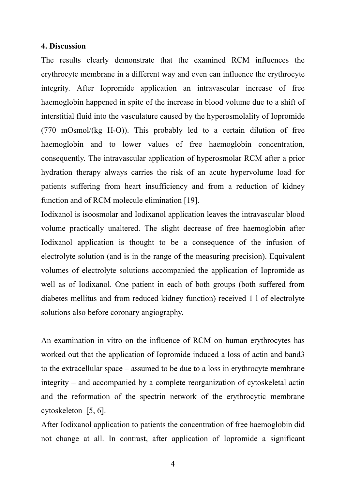#### **4. Discussion**

The results clearly demonstrate that the examined RCM influences the erythrocyte membrane in a different way and even can influence the erythrocyte integrity. After Iopromide application an intravascular increase of free haemoglobin happened in spite of the increase in blood volume due to a shift of interstitial fluid into the vasculature caused by the hyperosmolality of Iopromide (770 mOsmol/(kg H<sub>2</sub>O)). This probably led to a certain dilution of free haemoglobin and to lower values of free haemoglobin concentration, consequently. The intravascular application of hyperosmolar RCM after a prior hydration therapy always carries the risk of an acute hypervolume load for patients suffering from heart insufficiency and from a reduction of kidney function and of RCM molecule elimination [19].

Iodixanol is isoosmolar and Iodixanol application leaves the intravascular blood volume practically unaltered. The slight decrease of free haemoglobin after Iodixanol application is thought to be a consequence of the infusion of electrolyte solution (and is in the range of the measuring precision). Equivalent volumes of electrolyte solutions accompanied the application of Iopromide as well as of Iodixanol. One patient in each of both groups (both suffered from diabetes mellitus and from reduced kidney function) received 1 l of electrolyte solutions also before coronary angiography.

An examination in vitro on the influence of RCM on human erythrocytes has worked out that the application of Iopromide induced a loss of actin and band3 to the extracellular space – assumed to be due to a loss in erythrocyte membrane integrity – and accompanied by a complete reorganization of cytoskeletal actin and the reformation of the spectrin network of the erythrocytic membrane cytoskeleton [5, 6].

After Iodixanol application to patients the concentration of free haemoglobin did not change at all. In contrast, after application of Iopromide a significant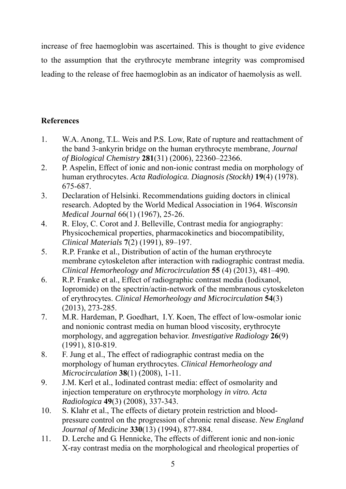increase of free haemoglobin was ascertained. This is thought to give evidence to the assumption that the erythrocyte membrane integrity was compromised leading to the release of free haemoglobin as an indicator of haemolysis as well.

## **References**

- 1. W.A. Anong, T.L. Weis and P.S. Low, Rate of rupture and reattachment of the band 3-ankyrin bridge on the human erythrocyte membrane, *Journal of Biological Chemistry* **281**(31) (2006), 22360–22366.
- 2. P. Aspelin, Effect of ionic and non-ionic contrast media on morphology of human erythrocytes. *Acta Radiologica. Diagnosis (Stockh)* **19**(4) (1978). 675-687.
- 3. Declaration of Helsinki. Recommendations guiding doctors in clinical research. Adopted by the World Medical Association in 1964. *Wisconsin Medical Journal* 66(1) (1967), 25-26.
- 4. R. Eloy, C. Corot and J. Belleville, Contrast media for angiography: Physicochemical properties, pharmacokinetics and biocompatibility, *Clinical Materials* **7**(2) (1991), 89–197.
- 5. R.P. Franke et al., Distribution of actin of the human erythrocyte membrane cytoskeleton after interaction with radiographic contrast media. *Clinical Hemorheology and Microcirculation* **55** (4) (2013), 481–490.
- 6. R.P. Franke et al., Effect of radiographic contrast media (Iodixanol, Iopromide) on the spectrin/actin-network of the membranous cytoskeleton of erythrocytes. *Clinical Hemorheology and Microcirculation* **54**(3) (2013), 273-285.
- 7. M.R. Hardeman, P. Goedhart, I.Y. Koen, The effect of low-osmolar ionic and nonionic contrast media on human blood viscosity, erythrocyte morphology, and aggregation behavior. *Investigative Radiology* **26**(9) (1991), 810-819.
- 8. F. Jung et al., The effect of radiographic contrast media on the morphology of human erythrocytes. *Clinical Hemorheology and Microcirculation* **38**(1) (2008), 1-11.
- 9. J.M. Kerl et al., Iodinated contrast media: effect of osmolarity and injection temperature on erythrocyte morphology *in vitro. Acta Radiologica* **49**(3) (2008), 337-343.
- 10. S. Klahr et al., The effects of dietary protein restriction and bloodpressure control on the progression of chronic renal disease. *New England Journal of Medicine* **330**(13) (1994), 877-884.
- 11. D. Lerche and G. Hennicke, The effects of different ionic and non-ionic X-ray contrast media on the morphological and rheological properties of